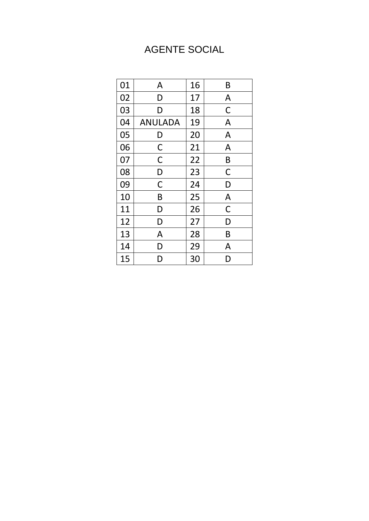## **AGENTE SOCIAL**

| 01 | A              | 16 | B            |
|----|----------------|----|--------------|
| 02 | D              | 17 | A            |
| 03 | D              | 18 | $\mathsf C$  |
| 04 | <b>ANULADA</b> | 19 | A            |
| 05 | D              | 20 | A            |
| 06 | $\mathsf C$    | 21 | A            |
| 07 | $\mathsf C$    | 22 | B            |
| 08 | D              | 23 | $\mathsf C$  |
| 09 | $\mathsf C$    | 24 | D            |
| 10 | B              | 25 | $\mathsf{A}$ |
| 11 | D              | 26 | $\mathsf C$  |
| 12 | D              | 27 | D            |
| 13 | A              | 28 | B            |
| 14 | D              | 29 | A            |
| 15 | D              | 30 | D            |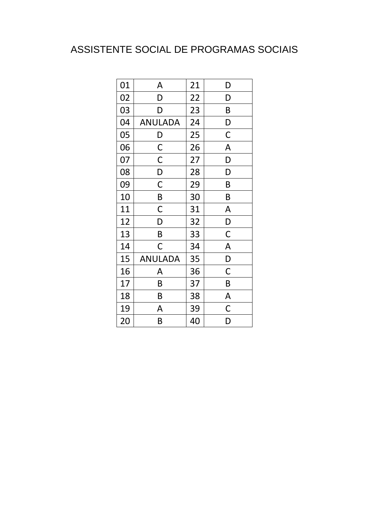### ASSISTENTE SOCIAL DE PROGRAMAS SOCIAIS

| 01 | A              | 21 | D           |
|----|----------------|----|-------------|
| 02 | D              | 22 | D           |
| 03 | D              | 23 | B           |
| 04 | <b>ANULADA</b> | 24 | D           |
| 05 | $\mathsf{D}$   | 25 | $\mathsf C$ |
| 06 | $\mathsf{C}$   | 26 | A           |
| 07 | $\mathsf C$    | 27 | D           |
| 08 | D              | 28 | D           |
| 09 | $\mathsf C$    | 29 | B           |
| 10 | B              | 30 | B           |
| 11 | $\mathsf C$    | 31 | A           |
| 12 | D              | 32 | D           |
| 13 | B              | 33 | $\mathsf C$ |
| 14 | C              | 34 | A           |
| 15 | <b>ANULADA</b> | 35 | D           |
| 16 | A              | 36 | $\mathsf C$ |
| 17 | B              | 37 | B           |
| 18 | B              | 38 | A           |
| 19 | A              | 39 | $\mathsf C$ |
| 20 | B              | 40 | D           |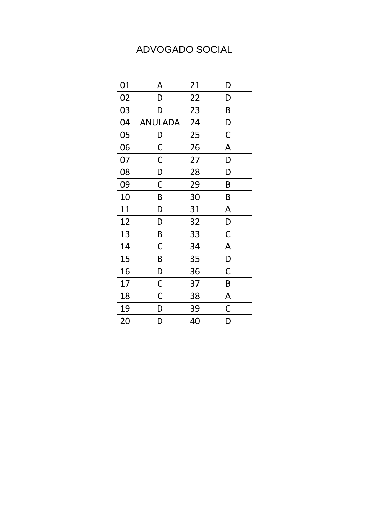#### ADVOGADO SOCIAL

| 01 | A                       | 21 | D                       |
|----|-------------------------|----|-------------------------|
| 02 | D                       | 22 | D                       |
| 03 | D                       | 23 | B                       |
| 04 | <b>ANULADA</b>          | 24 | D                       |
| 05 | $\mathsf{D}$            | 25 | $\mathsf C$             |
| 06 | $\overline{C}$          | 26 | A                       |
| 07 | $\mathsf{C}$            | 27 | D                       |
| 08 | $\overline{D}$          | 28 | D                       |
| 09 | $\overline{\mathsf{C}}$ | 29 | B                       |
| 10 | B                       | 30 | B                       |
| 11 | D                       | 31 | A                       |
| 12 | D                       | 32 | D                       |
| 13 | B                       | 33 | $\mathsf C$             |
| 14 | C                       | 34 | A                       |
| 15 | $\mathsf{B}$            | 35 | D                       |
| 16 | $\overline{D}$          | 36 | $\mathsf C$             |
| 17 | $\overline{\text{C}}$   | 37 | $\sf B$                 |
| 18 | $\overline{\mathsf{C}}$ | 38 | $\overline{\mathsf{A}}$ |
| 19 | D                       | 39 | $\mathsf C$             |
| 20 | D                       | 40 | D                       |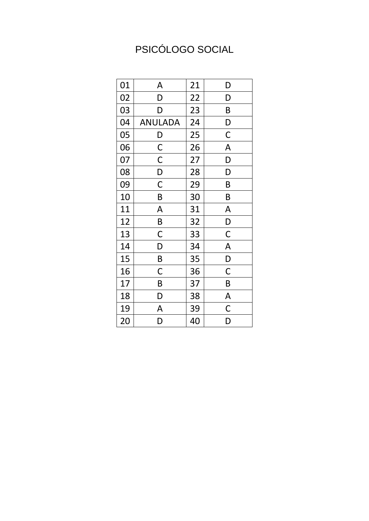# PSICÓLOGO SOCIAL

| 01 | A                       | 21 | D           |
|----|-------------------------|----|-------------|
| 02 | D                       | 22 | D           |
| 03 | D                       | 23 | B           |
| 04 | <b>ANULADA</b>          | 24 | D           |
| 05 | $\mathsf{D}$            | 25 | $\mathsf C$ |
| 06 | $\overline{C}$          | 26 | A           |
| 07 | $\mathsf{C}$            | 27 | D           |
| 08 | D                       | 28 | D           |
| 09 | $\overline{C}$          | 29 | B           |
| 10 | B                       | 30 | B           |
| 11 | A                       | 31 | A           |
| 12 | $\mathsf{B}$            | 32 | D           |
| 13 | $\mathsf C$             | 33 | $\mathsf C$ |
| 14 | D                       | 34 | A           |
| 15 | $\mathsf{B}$            | 35 | D           |
| 16 | $\mathsf C$             | 36 | $\mathsf C$ |
| 17 | B                       | 37 | $\sf B$     |
| 18 | D                       | 38 | A           |
| 19 | A                       | 39 | $\mathsf C$ |
| 20 | $\overline{\mathsf{D}}$ | 40 | D           |